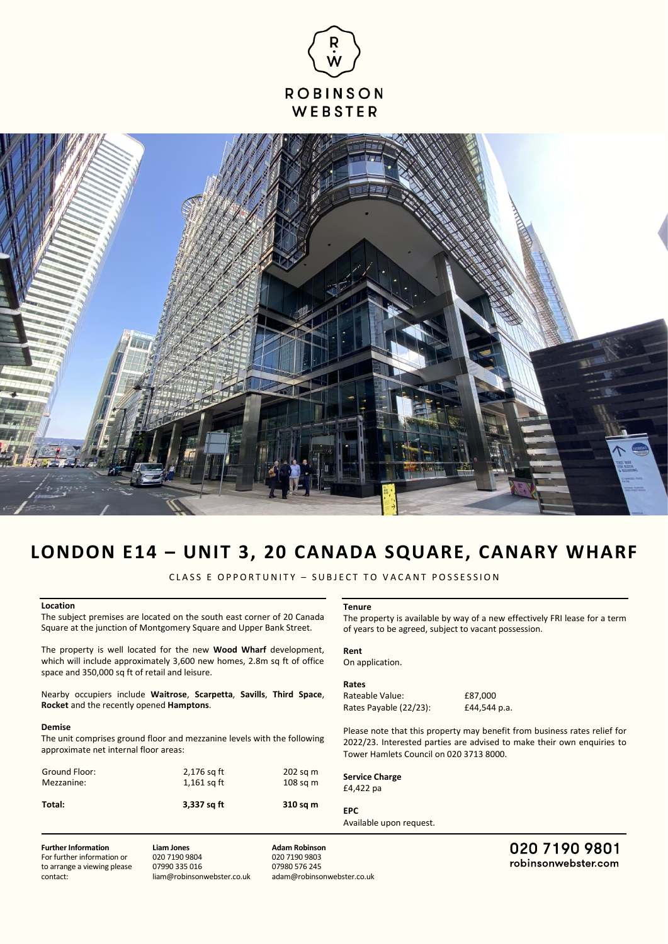



# **LONDON E14 – UNIT 3, 20 CANADA SQUARE, CANARY WHARF**

CLASS E OPPORTUNITY - SUBJECT TO VACANT POSSESSION

## **Location**

The subject premises are located on the south east corner of 20 Canada Square at the junction of Montgomery Square and Upper Bank Street.

The property is well located for the new **Wood Wharf** development, which will include approximately 3,600 new homes, 2.8m sq ft of office space and 350,000 sq ft of retail and leisure.

Nearby occupiers include **Waitrose**, **Scarpetta**, **Savills**, **Third Space**, **Rocket** and the recently opened **Hamptons**.

#### **Demise**

The unit comprises ground floor and mezzanine levels with the following approximate net internal floor areas:

| Total:        | 3,337 sq ft   | 310 sq m   |
|---------------|---------------|------------|
| Mezzanine:    | $1,161$ sq ft | $108$ sq m |
| Ground Floor: | $2,176$ sq ft | $202$ sq m |

### **Tenure**

The property is available by way of a new effectively FRI lease for a term of years to be agreed, subject to vacant possession.

**Rent**  On application.

#### **Rates**

Rateable Value: £87,000 Rates Payable (22/23): £44,544 p.a.

Please note that this property may benefit from business rates relief for 2022/23. Interested parties are advised to make their own enquiries to Tower Hamlets Council on 020 3713 8000.

**Service Charge** £4,422 pa

# **EPC**

Available upon request.

**Further Information**

For further information or to arrange a viewing please contact:

**Liam Jones** 020 7190 9804 07990 335 016 liam@robinsonwebster.co.uk

**Adam Robinson** 020 7190 9803 07980 576 245 adam@robinsonwebster.co.uk 020 7190 9801 robinsonwebster.com